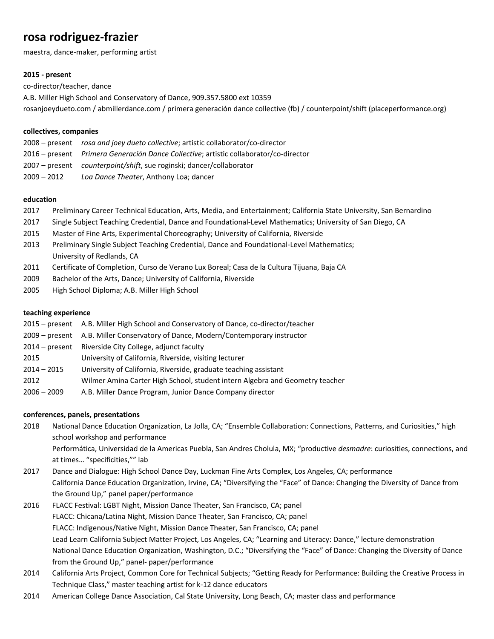# **rosa rodriguez-frazier**

maestra, dance-maker, performing artist

# **2015 - present**

co-director/teacher, dance

A.B. Miller High School and Conservatory of Dance, 909.357.5800 ext 10359 rosanjoeydueto.com / abmillerdance.com / primera generación dance collective (fb) / counterpoint/shift (placeperformance.org)

# **collectives, companies**

|             | 2008 – present rosa and joey dueto collective; artistic collaborator/co-director      |
|-------------|---------------------------------------------------------------------------------------|
|             | 2016 – present Primera Generación Dance Collective; artistic collaborator/co-director |
|             | 2007 – present counterpoint/shift, sue roginski; dancer/collaborator                  |
| 2009 - 2012 | Loa Dance Theater, Anthony Loa; dancer                                                |

# **education**

- 2017 Preliminary Career Technical Education, Arts, Media, and Entertainment; California State University, San Bernardino
- 2017 Single Subject Teaching Credential, Dance and Foundational-Level Mathematics; University of San Diego, CA
- 2015 Master of Fine Arts, Experimental Choreography; University of California, Riverside
- 2013 Preliminary Single Subject Teaching Credential, Dance and Foundational-Level Mathematics; University of Redlands, CA
- 2011 Certificate of Completion, Curso de Verano Lux Boreal; Casa de la Cultura Tijuana, Baja CA
- 2009 Bachelor of the Arts, Dance; University of California, Riverside
- 2005 High School Diploma; A.B. Miller High School

# **teaching experience**

- 2015 present A.B. Miller High School and Conservatory of Dance, co-director/teacher
- 2009 present A.B. Miller Conservatory of Dance, Modern/Contemporary instructor
- 2014 present Riverside City College, adjunct faculty
- 2015 University of California, Riverside, visiting lecturer
- 2014 2015 University of California, Riverside, graduate teaching assistant
- 2012 Wilmer Amina Carter High School, student intern Algebra and Geometry teacher
- 2006 2009 A.B. Miller Dance Program, Junior Dance Company director

# **conferences, panels, presentations**

- 2018 National Dance Education Organization, La Jolla, CA; "Ensemble Collaboration: Connections, Patterns, and Curiosities," high school workshop and performance Performática, Universidad de la Americas Puebla, San Andres Cholula, MX; "productive *desmadre*: curiosities, connections, and at times… "specificities,"" lab
- 2017 Dance and Dialogue: High School Dance Day, Luckman Fine Arts Complex, Los Angeles, CA; performance California Dance Education Organization, Irvine, CA; "Diversifying the "Face" of Dance: Changing the Diversity of Dance from the Ground Up," panel paper/performance
- 2016 FLACC Festival: LGBT Night, Mission Dance Theater, San Francisco, CA; panel FLACC: Chicana/Latina Night, Mission Dance Theater, San Francisco, CA; panel FLACC: Indigenous/Native Night, Mission Dance Theater, San Francisco, CA; panel Lead Learn California Subject Matter Project, Los Angeles, CA; "Learning and Literacy: Dance," lecture demonstration National Dance Education Organization, Washington, D.C.; "Diversifying the "Face" of Dance: Changing the Diversity of Dance from the Ground Up," panel- paper/performance
- 2014 California Arts Project, Common Core for Technical Subjects; "Getting Ready for Performance: Building the Creative Process in Technique Class," master teaching artist for k-12 dance educators
- 2014 American College Dance Association, Cal State University, Long Beach, CA; master class and performance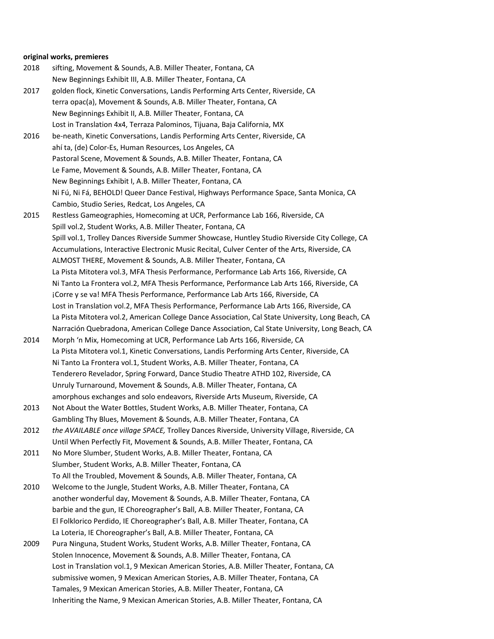# **original works, premieres**

| 2018 | sifting, Movement & Sounds, A.B. Miller Theater, Fontana, CA                                      |
|------|---------------------------------------------------------------------------------------------------|
|      | New Beginnings Exhibit III, A.B. Miller Theater, Fontana, CA                                      |
| 2017 | golden flock, Kinetic Conversations, Landis Performing Arts Center, Riverside, CA                 |
|      | terra opac(a), Movement & Sounds, A.B. Miller Theater, Fontana, CA                                |
|      | New Beginnings Exhibit II, A.B. Miller Theater, Fontana, CA                                       |
|      | Lost in Translation 4x4, Terraza Palominos, Tijuana, Baja California, MX                          |
| 2016 | be-neath, Kinetic Conversations, Landis Performing Arts Center, Riverside, CA                     |
|      | ahí ta, (de) Color-Es, Human Resources, Los Angeles, CA                                           |
|      | Pastoral Scene, Movement & Sounds, A.B. Miller Theater, Fontana, CA                               |
|      | Le Fame, Movement & Sounds, A.B. Miller Theater, Fontana, CA                                      |
|      | New Beginnings Exhibit I, A.B. Miller Theater, Fontana, CA                                        |
|      | Ni Fú, Ni Fá, BEHOLD! Queer Dance Festival, Highways Performance Space, Santa Monica, CA          |
|      | Cambio, Studio Series, Redcat, Los Angeles, CA                                                    |
| 2015 | Restless Gameographies, Homecoming at UCR, Performance Lab 166, Riverside, CA                     |
|      | Spill vol.2, Student Works, A.B. Miller Theater, Fontana, CA                                      |
|      | Spill vol.1, Trolley Dances Riverside Summer Showcase, Huntley Studio Riverside City College, CA  |
|      | Accumulations, Interactive Electronic Music Recital, Culver Center of the Arts, Riverside, CA     |
|      | ALMOST THERE, Movement & Sounds, A.B. Miller Theater, Fontana, CA                                 |
|      | La Pista Mitotera vol.3, MFA Thesis Performance, Performance Lab Arts 166, Riverside, CA          |
|      | Ni Tanto La Frontera vol.2, MFA Thesis Performance, Performance Lab Arts 166, Riverside, CA       |
|      | ¡Corre y se va! MFA Thesis Performance, Performance Lab Arts 166, Riverside, CA                   |
|      | Lost in Translation vol.2, MFA Thesis Performance, Performance Lab Arts 166, Riverside, CA        |
|      | La Pista Mitotera vol.2, American College Dance Association, Cal State University, Long Beach, CA |
|      | Narración Quebradona, American College Dance Association, Cal State University, Long Beach, CA    |
| 2014 | Morph 'n Mix, Homecoming at UCR, Performance Lab Arts 166, Riverside, CA                          |
|      | La Pista Mitotera vol.1, Kinetic Conversations, Landis Performing Arts Center, Riverside, CA      |
|      | Ni Tanto La Frontera vol.1, Student Works, A.B. Miller Theater, Fontana, CA                       |
|      | Tenderero Revelador, Spring Forward, Dance Studio Theatre ATHD 102, Riverside, CA                 |
|      | Unruly Turnaround, Movement & Sounds, A.B. Miller Theater, Fontana, CA                            |
|      | amorphous exchanges and solo endeavors, Riverside Arts Museum, Riverside, CA                      |
| 2013 | Not About the Water Bottles, Student Works, A.B. Miller Theater, Fontana, CA                      |
|      | Gambling Thy Blues, Movement & Sounds, A.B. Miller Theater, Fontana, CA                           |
| 2012 | the AVAILABLE once village SPACE, Trolley Dances Riverside, University Village, Riverside, CA     |
|      | Until When Perfectly Fit, Movement & Sounds, A.B. Miller Theater, Fontana, CA                     |
| 2011 | No More Slumber, Student Works, A.B. Miller Theater, Fontana, CA                                  |
|      | Slumber, Student Works, A.B. Miller Theater, Fontana, CA                                          |
|      | To All the Troubled, Movement & Sounds, A.B. Miller Theater, Fontana, CA                          |
| 2010 | Welcome to the Jungle, Student Works, A.B. Miller Theater, Fontana, CA                            |
|      | another wonderful day, Movement & Sounds, A.B. Miller Theater, Fontana, CA                        |
|      | barbie and the gun, IE Choreographer's Ball, A.B. Miller Theater, Fontana, CA                     |
|      | El Folklorico Perdido, IE Choreographer's Ball, A.B. Miller Theater, Fontana, CA                  |
|      | La Loteria, IE Choreographer's Ball, A.B. Miller Theater, Fontana, CA                             |
| 2009 | Pura Ninguna, Student Works, Student Works, A.B. Miller Theater, Fontana, CA                      |
|      | Stolen Innocence, Movement & Sounds, A.B. Miller Theater, Fontana, CA                             |
|      | Lost in Translation vol.1, 9 Mexican American Stories, A.B. Miller Theater, Fontana, CA           |
|      | submissive women, 9 Mexican American Stories, A.B. Miller Theater, Fontana, CA                    |
|      | Tamales, 9 Mexican American Stories, A.B. Miller Theater, Fontana, CA                             |
|      | Inheriting the Name, 9 Mexican American Stories, A.B. Miller Theater, Fontana, CA                 |
|      |                                                                                                   |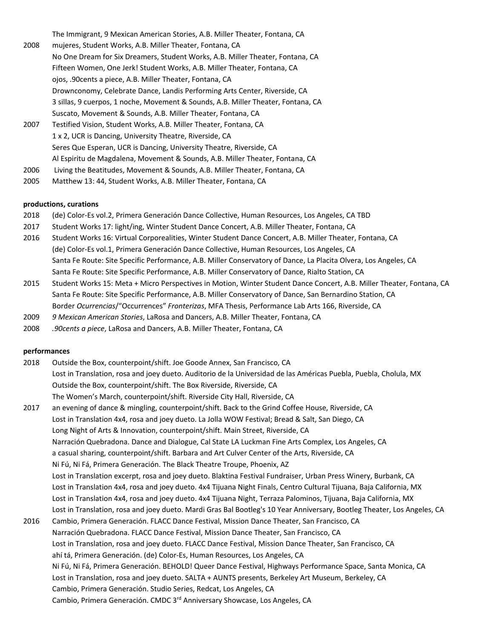The Immigrant, 9 Mexican American Stories, A.B. Miller Theater, Fontana, CA 2008 mujeres, Student Works, A.B. Miller Theater, Fontana, CA No One Dream for Six Dreamers, Student Works, A.B. Miller Theater, Fontana, CA Fifteen Women, One Jerk! Student Works, A.B. Miller Theater, Fontana, CA ojos, .90cents a piece, A.B. Miller Theater, Fontana, CA Drownconomy, Celebrate Dance, Landis Performing Arts Center, Riverside, CA 3 sillas, 9 cuerpos, 1 noche, Movement & Sounds, A.B. Miller Theater, Fontana, CA Suscato, Movement & Sounds, A.B. Miller Theater, Fontana, CA 2007 Testified Vision, Student Works, A.B. Miller Theater, Fontana, CA 1 x 2, UCR is Dancing, University Theatre, Riverside, CA Seres Que Esperan, UCR is Dancing, University Theatre, Riverside, CA Al Espiritu de Magdalena, Movement & Sounds, A.B. Miller Theater, Fontana, CA 2006 Living the Beatitudes, Movement & Sounds, A.B. Miller Theater, Fontana, CA

2005 Matthew 13: 44, Student Works, A.B. Miller Theater, Fontana, CA

#### **productions, curations**

- 2018 (de) Color-Es vol.2, Primera Generación Dance Collective, Human Resources, Los Angeles, CA TBD
- 2017 Student Works 17: light/ing, Winter Student Dance Concert, A.B. Miller Theater, Fontana, CA
- 2016 Student Works 16: Virtual Corporealities, Winter Student Dance Concert, A.B. Miller Theater, Fontana, CA (de) Color-Es vol.1, Primera Generación Dance Collective, Human Resources, Los Angeles, CA Santa Fe Route: Site Specific Performance, A.B. Miller Conservatory of Dance, La Placita Olvera, Los Angeles, CA Santa Fe Route: Site Specific Performance, A.B. Miller Conservatory of Dance, Rialto Station, CA
- 2015 Student Works 15: Meta + Micro Perspectives in Motion, Winter Student Dance Concert, A.B. Miller Theater, Fontana, CA Santa Fe Route: Site Specific Performance, A.B. Miller Conservatory of Dance, San Bernardino Station, CA Border *Ocurrencias*/"Occurrences" *Fronterizas*, MFA Thesis, Performance Lab Arts 166, Riverside, CA
- 2009 *9 Mexican American Stories*, LaRosa and Dancers, A.B. Miller Theater, Fontana, CA
- 2008 *.90cents a piece*, LaRosa and Dancers, A.B. Miller Theater, Fontana, CA

#### **performances**

2018 Outside the Box, counterpoint/shift. Joe Goode Annex, San Francisco, CA Lost in Translation, rosa and joey dueto. Auditorio de la Universidad de las Américas Puebla, Puebla, Cholula, MX Outside the Box, counterpoint/shift. The Box Riverside, Riverside, CA The Women's March, counterpoint/shift. Riverside City Hall, Riverside, CA 2017 an evening of dance & mingling, counterpoint/shift. Back to the Grind Coffee House, Riverside, CA Lost in Translation 4x4, rosa and joey dueto. La Jolla WOW Festival; Bread & Salt, San Diego, CA Long Night of Arts & Innovation, counterpoint/shift. Main Street, Riverside, CA Narración Quebradona. Dance and Dialogue, Cal State LA Luckman Fine Arts Complex, Los Angeles, CA a casual sharing, counterpoint/shift. Barbara and Art Culver Center of the Arts, Riverside, CA Ni Fú, Ni Fá, Primera Generación. The Black Theatre Troupe, Phoenix, AZ Lost in Translation excerpt, rosa and joey dueto. Blaktina Festival Fundraiser, Urban Press Winery, Burbank, CA Lost in Translation 4x4, rosa and joey dueto. 4x4 Tijuana Night Finals, Centro Cultural Tijuana, Baja California, MX Lost in Translation 4x4, rosa and joey dueto. 4x4 Tijuana Night, Terraza Palominos, Tijuana, Baja California, MX Lost in Translation, rosa and joey dueto. Mardi Gras Bal Bootleg's 10 Year Anniversary, Bootleg Theater, Los Angeles, CA 2016 Cambio, Primera Generación. FLACC Dance Festival, Mission Dance Theater, San Francisco, CA Narración Quebradona. FLACC Dance Festival, Mission Dance Theater, San Francisco, CA Lost in Translation, rosa and joey dueto. FLACC Dance Festival, Mission Dance Theater, San Francisco, CA ahí tá, Primera Generación. (de) Color-Es, Human Resources, Los Angeles, CA Ni Fú, Ni Fá, Primera Generación. BEHOLD! Queer Dance Festival, Highways Performance Space, Santa Monica, CA Lost in Translation, rosa and joey dueto. SALTA + AUNTS presents, Berkeley Art Museum, Berkeley, CA Cambio, Primera Generación. Studio Series, Redcat, Los Angeles, CA Cambio, Primera Generación. CMDC 3<sup>rd</sup> Anniversary Showcase, Los Angeles, CA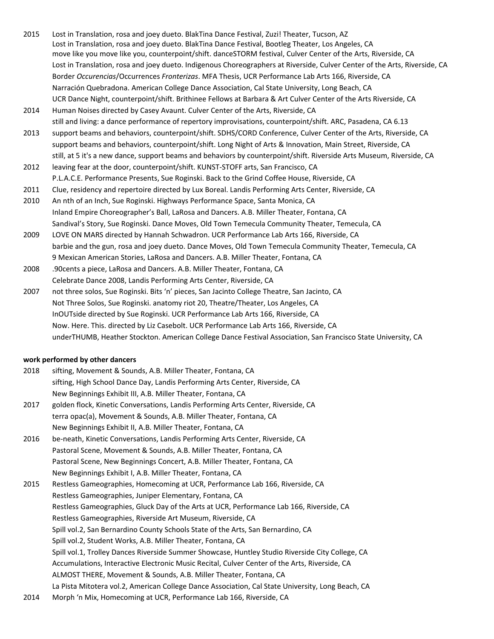- 2015 Lost in Translation, rosa and joey dueto. BlakTina Dance Festival, Zuzi! Theater, Tucson, AZ Lost in Translation, rosa and joey dueto. BlakTina Dance Festival, Bootleg Theater, Los Angeles, CA move like you move like you, counterpoint/shift. danceSTORM festival, Culver Center of the Arts, Riverside, CA Lost in Translation, rosa and joey dueto. Indigenous Choreographers at Riverside, Culver Center of the Arts, Riverside, CA Border *Occurencias*/Occurrences *Fronterizas*. MFA Thesis, UCR Performance Lab Arts 166, Riverside, CA Narración Quebradona. American College Dance Association, Cal State University, Long Beach, CA UCR Dance Night, counterpoint/shift. Brithinee Fellows at Barbara & Art Culver Center of the Arts Riverside, CA
- 2014 Human Noises directed by Casey Avaunt. Culver Center of the Arts, Riverside, CA still and living: a dance performance of repertory improvisations, counterpoint/shift. ARC, Pasadena, CA 6.13
- 2013 support beams and behaviors, counterpoint/shift. SDHS/CORD Conference, Culver Center of the Arts, Riverside, CA support beams and behaviors, counterpoint/shift. Long Night of Arts & Innovation, Main Street, Riverside, CA still, at 5 it's a new dance, support beams and behaviors by counterpoint/shift. Riverside Arts Museum, Riverside, CA
- 2012 leaving fear at the door, counterpoint/shift. KUNST-STOFF arts, San Francisco, CA P.L.A.C.E. Performance Presents, Sue Roginski. Back to the Grind Coffee House, Riverside, CA
- 2011 Clue, residency and repertoire directed by Lux Boreal. Landis Performing Arts Center, Riverside, CA
- 2010 An nth of an Inch, Sue Roginski. Highways Performance Space, Santa Monica, CA Inland Empire Choreographer's Ball, LaRosa and Dancers. A.B. Miller Theater, Fontana, CA Sandival's Story, Sue Roginski. Dance Moves, Old Town Temecula Community Theater, Temecula, CA
- 2009 LOVE ON MARS directed by Hannah Schwadron. UCR Performance Lab Arts 166, Riverside, CA barbie and the gun, rosa and joey dueto. Dance Moves, Old Town Temecula Community Theater, Temecula, CA 9 Mexican American Stories, LaRosa and Dancers. A.B. Miller Theater, Fontana, CA
- 2008 .90cents a piece, LaRosa and Dancers. A.B. Miller Theater, Fontana, CA Celebrate Dance 2008, Landis Performing Arts Center, Riverside, CA
- 2007 not three solos, Sue Roginski. Bits 'n' pieces, San Jacinto College Theatre, San Jacinto, CA Not Three Solos, Sue Roginski. anatomy riot 20, Theatre/Theater, Los Angeles, CA InOUTside directed by Sue Roginski. UCR Performance Lab Arts 166, Riverside, CA Now. Here. This. directed by Liz Casebolt. UCR Performance Lab Arts 166, Riverside, CA underTHUMB, Heather Stockton. American College Dance Festival Association, San Francisco State University, CA

# **work performed by other dancers**

| 2018 | sifting, Movement & Sounds, A.B. Miller Theater, Fontana, CA                                      |
|------|---------------------------------------------------------------------------------------------------|
|      | sifting, High School Dance Day, Landis Performing Arts Center, Riverside, CA                      |
|      | New Beginnings Exhibit III, A.B. Miller Theater, Fontana, CA                                      |
| 2017 | golden flock, Kinetic Conversations, Landis Performing Arts Center, Riverside, CA                 |
|      | terra opac(a), Movement & Sounds, A.B. Miller Theater, Fontana, CA                                |
|      | New Beginnings Exhibit II, A.B. Miller Theater, Fontana, CA                                       |
| 2016 | be-neath, Kinetic Conversations, Landis Performing Arts Center, Riverside, CA                     |
|      | Pastoral Scene, Movement & Sounds, A.B. Miller Theater, Fontana, CA                               |
|      | Pastoral Scene, New Beginnings Concert, A.B. Miller Theater, Fontana, CA                          |
|      | New Beginnings Exhibit I, A.B. Miller Theater, Fontana, CA                                        |
| 2015 | Restless Gameographies, Homecoming at UCR, Performance Lab 166, Riverside, CA                     |
|      | Restless Gameographies, Juniper Elementary, Fontana, CA                                           |
|      | Restless Gameographies, Gluck Day of the Arts at UCR, Performance Lab 166, Riverside, CA          |
|      | Restless Gameographies, Riverside Art Museum, Riverside, CA                                       |
|      | Spill vol.2, San Bernardino County Schools State of the Arts, San Bernardino, CA                  |
|      | Spill vol.2, Student Works, A.B. Miller Theater, Fontana, CA                                      |
|      | Spill vol.1, Trolley Dances Riverside Summer Showcase, Huntley Studio Riverside City College, CA  |
|      | Accumulations, Interactive Electronic Music Recital, Culver Center of the Arts, Riverside, CA     |
|      | ALMOST THERE, Movement & Sounds, A.B. Miller Theater, Fontana, CA                                 |
|      | La Pista Mitotera vol.2, American College Dance Association, Cal State University, Long Beach, CA |
| 2014 | Morph 'n Mix, Homecoming at UCR, Performance Lab 166, Riverside, CA                               |
|      |                                                                                                   |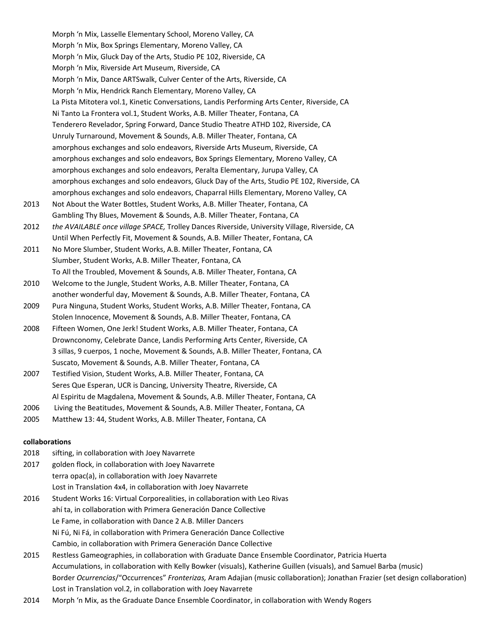Morph 'n Mix, Lasselle Elementary School, Moreno Valley, CA Morph 'n Mix, Box Springs Elementary, Moreno Valley, CA Morph 'n Mix, Gluck Day of the Arts, Studio PE 102, Riverside, CA Morph 'n Mix, Riverside Art Museum, Riverside, CA Morph 'n Mix, Dance ARTSwalk, Culver Center of the Arts, Riverside, CA Morph 'n Mix, Hendrick Ranch Elementary, Moreno Valley, CA La Pista Mitotera vol.1, Kinetic Conversations, Landis Performing Arts Center, Riverside, CA Ni Tanto La Frontera vol.1, Student Works, A.B. Miller Theater, Fontana, CA Tenderero Revelador, Spring Forward, Dance Studio Theatre ATHD 102, Riverside, CA Unruly Turnaround, Movement & Sounds, A.B. Miller Theater, Fontana, CA amorphous exchanges and solo endeavors, Riverside Arts Museum, Riverside, CA amorphous exchanges and solo endeavors, Box Springs Elementary, Moreno Valley, CA amorphous exchanges and solo endeavors, Peralta Elementary, Jurupa Valley, CA amorphous exchanges and solo endeavors, Gluck Day of the Arts, Studio PE 102, Riverside, CA amorphous exchanges and solo endeavors, Chaparral Hills Elementary, Moreno Valley, CA 2013 Not About the Water Bottles, Student Works, A.B. Miller Theater, Fontana, CA Gambling Thy Blues, Movement & Sounds, A.B. Miller Theater, Fontana, CA 2012 *the AVAILABLE once village SPACE,* Trolley Dances Riverside, University Village, Riverside, CA Until When Perfectly Fit, Movement & Sounds, A.B. Miller Theater, Fontana, CA 2011 No More Slumber, Student Works, A.B. Miller Theater, Fontana, CA Slumber, Student Works, A.B. Miller Theater, Fontana, CA To All the Troubled, Movement & Sounds, A.B. Miller Theater, Fontana, CA 2010 Welcome to the Jungle, Student Works, A.B. Miller Theater, Fontana, CA another wonderful day, Movement & Sounds, A.B. Miller Theater, Fontana, CA 2009 Pura Ninguna, Student Works, Student Works, A.B. Miller Theater, Fontana, CA Stolen Innocence, Movement & Sounds, A.B. Miller Theater, Fontana, CA 2008 Fifteen Women, One Jerk! Student Works, A.B. Miller Theater, Fontana, CA Drownconomy, Celebrate Dance, Landis Performing Arts Center, Riverside, CA 3 sillas, 9 cuerpos, 1 noche, Movement & Sounds, A.B. Miller Theater, Fontana, CA Suscato, Movement & Sounds, A.B. Miller Theater, Fontana, CA 2007 Testified Vision, Student Works, A.B. Miller Theater, Fontana, CA Seres Que Esperan, UCR is Dancing, University Theatre, Riverside, CA Al Espiritu de Magdalena, Movement & Sounds, A.B. Miller Theater, Fontana, CA 2006 Living the Beatitudes, Movement & Sounds, A.B. Miller Theater, Fontana, CA

2005 Matthew 13: 44, Student Works, A.B. Miller Theater, Fontana, CA

#### **collaborations**

- 2018 sifting, in collaboration with Joey Navarrete
- 2017 golden flock, in collaboration with Joey Navarrete terra opac(a), in collaboration with Joey Navarrete Lost in Translation 4x4, in collaboration with Joey Navarrete
- 2016 Student Works 16: Virtual Corporealities, in collaboration with Leo Rivas ahí ta, in collaboration with Primera Generación Dance Collective Le Fame, in collaboration with Dance 2 A.B. Miller Dancers Ni Fú, Ni Fá, in collaboration with Primera Generación Dance Collective Cambio, in collaboration with Primera Generación Dance Collective
- 2015 Restless Gameographies, in collaboration with Graduate Dance Ensemble Coordinator, Patricia Huerta Accumulations, in collaboration with Kelly Bowker (visuals), Katherine Guillen (visuals), and Samuel Barba (music) Border *Ocurrencias*/"Occurrences" *Fronterizas,* Aram Adajian (music collaboration); Jonathan Frazier (set design collaboration) Lost in Translation vol.2, in collaboration with Joey Navarrete
- 2014 Morph 'n Mix, as the Graduate Dance Ensemble Coordinator, in collaboration with Wendy Rogers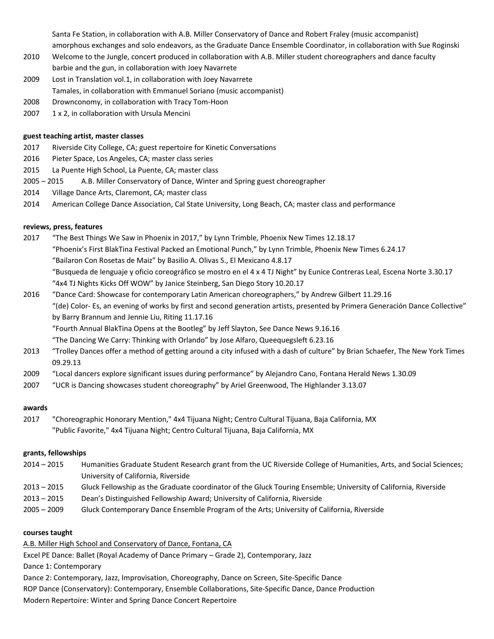Santa Fe Station, in collaboration with A.B. Miller Conservatory of Dance and Robert Fraley (music accompanist) amorphous exchanges and solo endeavors, as the Graduate Dance Ensemble Coordinator, in collaboration with Sue Roginski

- 2010 Welcome to the Jungle, concert produced in collaboration with A.B. Miller student choreographers and dance faculty barbie and the gun, in collaboration with Joey Navarrete
- 2009 Lost in Translation vol.1, in collaboration with Joey Navarrete Tamales, in collaboration with Emmanuel Soriano (music accompanist)
- 2008 Drownconomy, in collaboration with Tracy Tom-Hoon
- 2007 1 x 2, in collaboration with Ursula Mencini

# **guest teaching artist, master classes**

- 2017 Riverside City College, CA; guest repertoire for Kinetic Conversations
- 2016 Pieter Space, Los Angeles, CA; master class series
- 2015 La Puente High School, La Puente, CA; master class
- 2005 2015 A.B. Miller Conservatory of Dance, Winter and Spring guest choreographer
- 2014 Village Dance Arts, Claremont, CA; master class
- 2014 American College Dance Association, Cal State University, Long Beach, CA; master class and performance

# **reviews, press, features**

- 2017 "The Best Things We Saw in Phoenix in 2017," by Lynn Trimble, Phoenix New Times 12.18.17 "Phoenix's First BlakTina Festival Packed an Emotional Punch," by Lynn Trimble, Phoenix New Times 6.24.17 "Bailaron Con Rosetas de Maiz" by Basilio A. Olivas S., El Mexicano 4.8.17 "Busqueda de lenguaje y oficio coreográfico se mostro en el 4 x 4 TJ Night" by Eunice Contreras Leal, Escena Norte 3.30.17 "4x4 TJ Nights Kicks Off WOW" by Janice Steinberg, San Diego Story 10.20.17
- 2016 "Dance Card: Showcase for contemporary Latin American choreographers," by Andrew Gilbert 11.29.16 "(de) Color- Es, an evening of works by first and second generation artists, presented by Primera Generación Dance Collective" by Barry Brannum and Jennie Liu, Riting 11.17.16

"Fourth Annual BlakTina Opens at the Bootleg" by Jeff Slayton, See Dance News 9.16.16

"The Dancing We Carry: Thinking with Orlando" by Jose Alfaro, Queequegsleft 6.23.16

- 2013 "Trolley Dances offer a method of getting around a city infused with a dash of culture" by Brian Schaefer, The New York Times 09.29.13
- 2009 "Local dancers explore significant issues during performance" by Alejandro Cano, Fontana Herald News 1.30.09
- 2007 "UCR is Dancing showcases student choreography" by Ariel Greenwood, The Highlander 3.13.07

# **awards**

2017 "Choreographic Honorary Mention," 4x4 Tijuana Night; Centro Cultural Tijuana, Baja California, MX "Public Favorite," 4x4 Tijuana Night; Centro Cultural Tijuana, Baja California, MX

# **grants, fellowships**

- 2014 2015 Humanities Graduate Student Research grant from the UC Riverside College of Humanities, Arts, and Social Sciences; University of California, Riverside
- 2013 2015 Gluck Fellowship as the Graduate coordinator of the Gluck Touring Ensemble; University of California, Riverside
- 2013 2015 Dean's Distinguished Fellowship Award; University of California, Riverside
- 2005 2009 Gluck Contemporary Dance Ensemble Program of the Arts; University of California, Riverside

# **courses taught**

A.B. Miller High School and Conservatory of Dance, Fontana, CA

Excel PE Dance: Ballet (Royal Academy of Dance Primary – Grade 2), Contemporary, Jazz

Dance 1: Contemporary

Dance 2: Contemporary, Jazz, Improvisation, Choreography, Dance on Screen, Site-Specific Dance

ROP Dance (Conservatory): Contemporary, Ensemble Collaborations, Site-Specific Dance, Dance Production

Modern Repertoire: Winter and Spring Dance Concert Repertoire